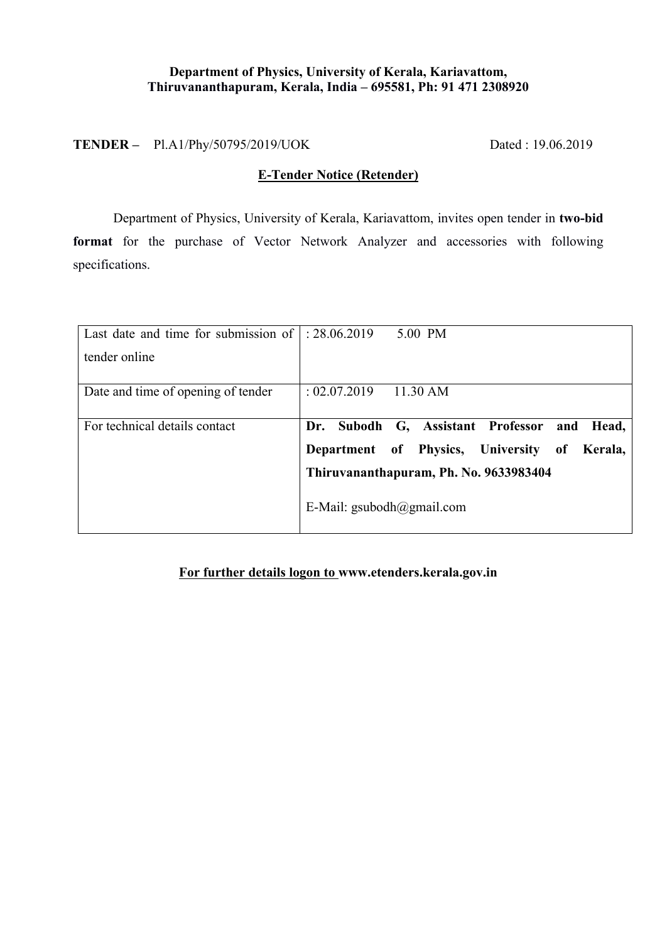#### **Department of Physics, University of Kerala, Kariavattom, Thiruvananthapuram, Kerala, India – 695581, Ph: 91 471 2308920**

**TENDER –** Pl.A1/Phy/50795/2019/UOK Dated : 19.06.2019

## **E-Tender Notice (Retender)**

Department of Physics, University of Kerala, Kariavattom, invites open tender in **two-bid format** for the purchase of Vector Network Analyzer and accessories with following specifications.

| Last date and time for submission of $\vert$ : 28.06.2019 | 5.00 PM                                           |
|-----------------------------------------------------------|---------------------------------------------------|
| tender online                                             |                                                   |
|                                                           |                                                   |
| Date and time of opening of tender                        | : 02.07.2019<br>11.30 AM                          |
|                                                           |                                                   |
| For technical details contact                             | Dr. Subodh G, Assistant Professor<br>Head,<br>and |
|                                                           | Department of Physics, University of<br>Kerala.   |
|                                                           | Thiruvananthapuram, Ph. No. 9633983404            |
|                                                           | E-Mail: $\text{gsubodh}(a)$ gmail.com             |
|                                                           |                                                   |

#### **For further details logon to www.etenders.kerala.gov.in**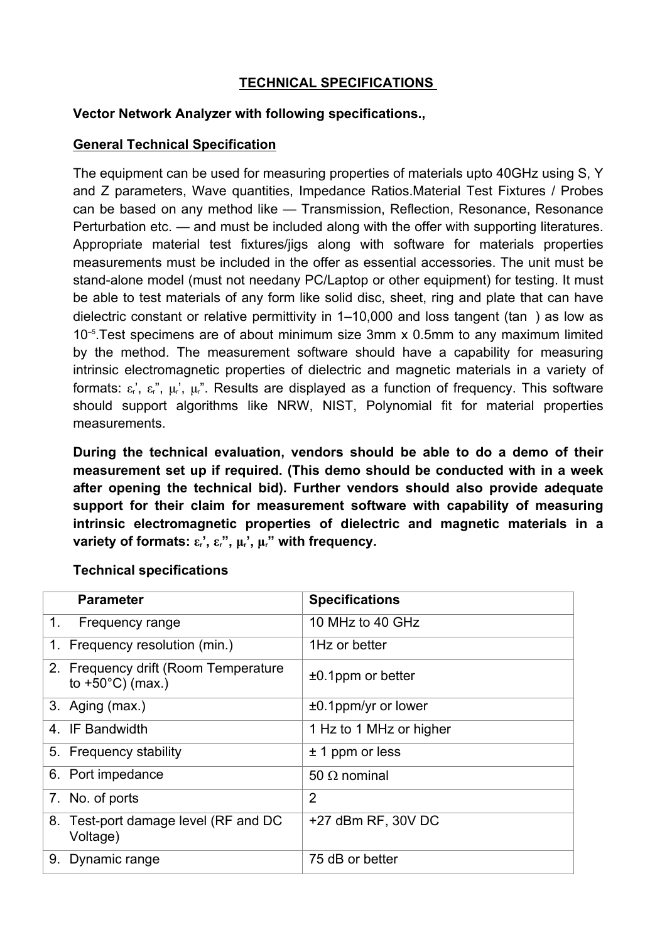## **TECHNICAL SPECIFICATIONS**

#### **Vector Network Analyzer with following specifications.,**

## **General Technical Specification**

The equipment can be used for measuring properties of materials upto 40GHz using S, Y and Z parameters, Wave quantities, Impedance Ratios.Material Test Fixtures / Probes can be based on any method like — Transmission, Reflection, Resonance, Resonance Perturbation etc. — and must be included along with the offer with supporting literatures. Appropriate material test fixtures/jigs along with software for materials properties measurements must be included in the offer as essential accessories. The unit must be stand-alone model (must not needany PC/Laptop or other equipment) for testing. It must be able to test materials of any form like solid disc, sheet, ring and plate that can have dielectric constant or relative permittivity in 1–10,000 and loss tangent (tan ) as low as 10–5.Test specimens are of about minimum size 3mm x 0.5mm to any maximum limited by the method. The measurement software should have a capability for measuring intrinsic electromagnetic properties of dielectric and magnetic materials in a variety of formats:  $\varepsilon$ <sup>r</sup>,  $\varepsilon$ <sup>r</sup><sub>r</sub>,  $\mu$ <sup>r</sup>,  $\mu$ <sup>r</sup>. Results are displayed as a function of frequency. This software should support algorithms like NRW, NIST, Polynomial fit for material properties measurements.

**During the technical evaluation, vendors should be able to do a demo of their measurement set up if required. (This demo should be conducted with in a week after opening the technical bid). Further vendors should also provide adequate support for their claim for measurement software with capability of measuring intrinsic electromagnetic properties of dielectric and magnetic materials in a variety of formats:**  $\varepsilon_r$ ,  $\varepsilon_r$ ,  $\mu_r$ ,  $\mu_r$ , with frequency.

|                                                                    | <b>Specifications</b>   |
|--------------------------------------------------------------------|-------------------------|
| Frequency range                                                    | 10 MHz to 40 GHz        |
| 1. Frequency resolution (min.)                                     | 1Hz or better           |
| 2. Frequency drift (Room Temperature<br>to $+50^{\circ}$ C) (max.) | $±0.1$ ppm or better    |
| 3. Aging (max.)                                                    | $±0.1$ ppm/yr or lower  |
| 4 IF Bandwidth                                                     | 1 Hz to 1 MHz or higher |
| 5. Frequency stability                                             | $± 1$ ppm or less       |
| 6. Port impedance                                                  | 50 $\Omega$ nominal     |
| 7. No. of ports                                                    | $\overline{2}$          |
| 8. Test-port damage level (RF and DC<br>Voltage)                   | $+27$ dBm RF, 30V DC    |
| 9. Dynamic range                                                   | 75 dB or better         |
|                                                                    |                         |

#### **Technical specifications**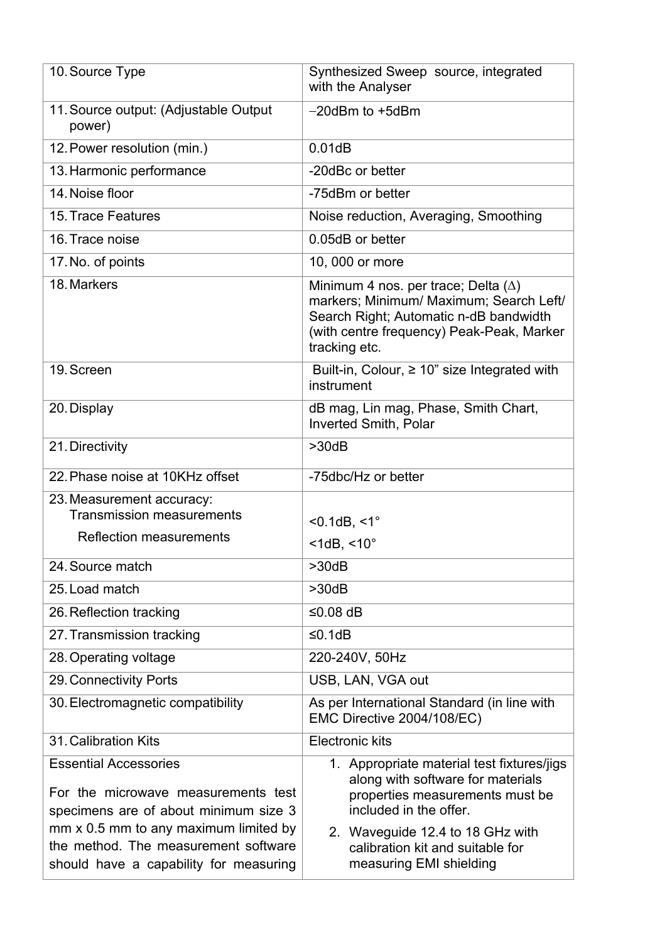| 10. Source Type                                                                                              | Synthesized Sweep source, integrated<br>with the Analyser                                                                                                                                     |
|--------------------------------------------------------------------------------------------------------------|-----------------------------------------------------------------------------------------------------------------------------------------------------------------------------------------------|
| 11. Source output: (Adjustable Output)<br>power)                                                             | $-20$ dBm to $+5$ dBm                                                                                                                                                                         |
| 12. Power resolution (min.)                                                                                  | 0.01dB                                                                                                                                                                                        |
| 13. Harmonic performance                                                                                     | -20dBc or better                                                                                                                                                                              |
| 14. Noise floor                                                                                              | -75dBm or better                                                                                                                                                                              |
| 15. Trace Features                                                                                           | Noise reduction, Averaging, Smoothing                                                                                                                                                         |
| 16. Trace noise                                                                                              | 0.05dB or better                                                                                                                                                                              |
| 17. No. of points                                                                                            | 10, 000 or more                                                                                                                                                                               |
| 18. Markers                                                                                                  | Minimum 4 nos. per trace; Delta $(\Delta)$<br>markers; Minimum/ Maximum; Search Left/<br>Search Right; Automatic n-dB bandwidth<br>(with centre frequency) Peak-Peak, Marker<br>tracking etc. |
| 19. Screen                                                                                                   | Built-in, Colour, $\geq 10$ " size Integrated with<br>instrument                                                                                                                              |
| 20. Display                                                                                                  | dB mag, Lin mag, Phase, Smith Chart,<br><b>Inverted Smith, Polar</b>                                                                                                                          |
| 21. Directivity                                                                                              | >30dB                                                                                                                                                                                         |
| 22. Phase noise at 10KHz offset                                                                              | -75dbc/Hz or better                                                                                                                                                                           |
| 23. Measurement accuracy:<br><b>Transmission measurements</b>                                                | $< 0.1$ dB, $< 1^\circ$                                                                                                                                                                       |
| <b>Reflection measurements</b>                                                                               | $<$ 1dB, $<$ 10 $^{\circ}$                                                                                                                                                                    |
| 24. Source match                                                                                             | >30dB                                                                                                                                                                                         |
| 25. Load match                                                                                               | >30dB                                                                                                                                                                                         |
| 26. Reflection tracking                                                                                      | ≤0.08 dB                                                                                                                                                                                      |
| 27. Transmission tracking                                                                                    | ≤0.1dB                                                                                                                                                                                        |
| 28. Operating voltage                                                                                        | 220-240V, 50Hz                                                                                                                                                                                |
| 29. Connectivity Ports                                                                                       | USB, LAN, VGA out                                                                                                                                                                             |
| 30. Electromagnetic compatibility                                                                            | As per International Standard (in line with<br>EMC Directive 2004/108/EC)                                                                                                                     |
| 31. Calibration Kits                                                                                         | <b>Electronic kits</b>                                                                                                                                                                        |
| <b>Essential Accessories</b><br>For the microwave measurements test<br>specimens are of about minimum size 3 | 1. Appropriate material test fixtures/jigs<br>along with software for materials<br>properties measurements must be<br>included in the offer.                                                  |
| mm x 0.5 mm to any maximum limited by                                                                        | 2. Waveguide 12.4 to 18 GHz with                                                                                                                                                              |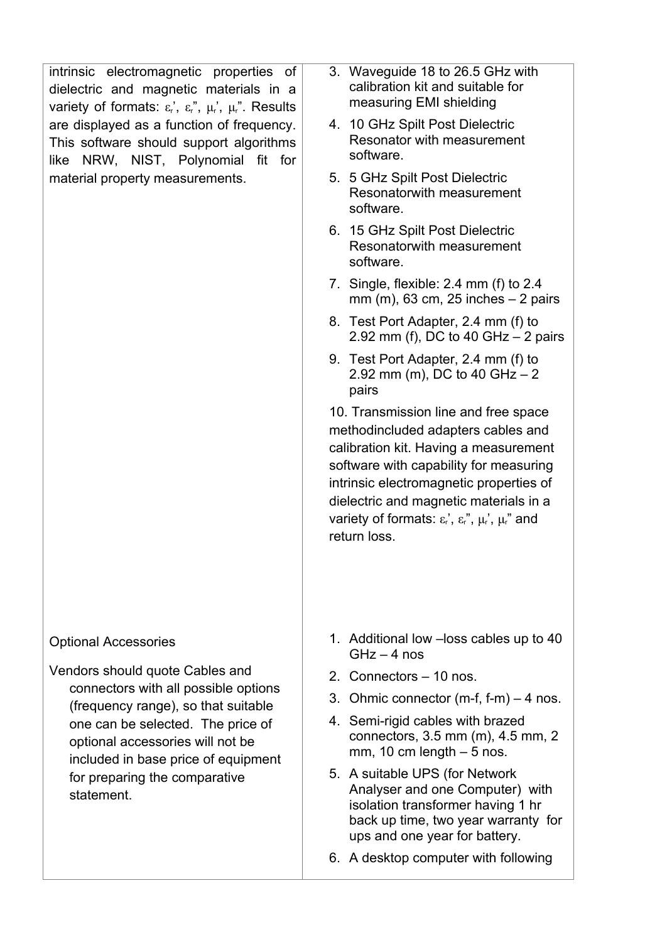| intrinsic electromagnetic properties of<br>dielectric and magnetic materials in a<br>variety of formats: $\varepsilon_r$ , $\varepsilon_r$ , $\mu_r$ , $\mu_r$ . Results<br>are displayed as a function of frequency.<br>This software should support algorithms<br>like NRW, NIST, Polynomial fit for<br>material property measurements. | 3. Waveguide 18 to 26.5 GHz with<br>calibration kit and suitable for<br>measuring EMI shielding                                                                                                                                                                                                                                                       |
|-------------------------------------------------------------------------------------------------------------------------------------------------------------------------------------------------------------------------------------------------------------------------------------------------------------------------------------------|-------------------------------------------------------------------------------------------------------------------------------------------------------------------------------------------------------------------------------------------------------------------------------------------------------------------------------------------------------|
|                                                                                                                                                                                                                                                                                                                                           | 4. 10 GHz Spilt Post Dielectric<br>Resonator with measurement<br>software.                                                                                                                                                                                                                                                                            |
|                                                                                                                                                                                                                                                                                                                                           | 5. 5 GHz Spilt Post Dielectric<br>Resonatorwith measurement<br>software.                                                                                                                                                                                                                                                                              |
|                                                                                                                                                                                                                                                                                                                                           | 6. 15 GHz Spilt Post Dielectric<br>Resonatorwith measurement<br>software.                                                                                                                                                                                                                                                                             |
|                                                                                                                                                                                                                                                                                                                                           | 7. Single, flexible: $2.4$ mm (f) to $2.4$<br>$mm$ (m), 63 cm, 25 inches $-$ 2 pairs                                                                                                                                                                                                                                                                  |
|                                                                                                                                                                                                                                                                                                                                           | 8. Test Port Adapter, 2.4 mm (f) to<br>2.92 mm (f), DC to 40 GHz $-$ 2 pairs                                                                                                                                                                                                                                                                          |
|                                                                                                                                                                                                                                                                                                                                           | 9. Test Port Adapter, 2.4 mm (f) to<br>2.92 mm (m), DC to 40 GHz $-2$<br>pairs                                                                                                                                                                                                                                                                        |
|                                                                                                                                                                                                                                                                                                                                           | 10. Transmission line and free space<br>methodincluded adapters cables and<br>calibration kit. Having a measurement<br>software with capability for measuring<br>intrinsic electromagnetic properties of<br>dielectric and magnetic materials in a<br>variety of formats: $\varepsilon_r$ , $\varepsilon_r$ , $\mu_r$ , $\mu_r$ , and<br>return loss. |
| <b>Optional Accessories</b><br>Vendors should quote Cables and<br>connectors with all possible options<br>(frequency range), so that suitable<br>one can be selected. The price of<br>optional accessories will not be<br>included in base price of equipment<br>for preparing the comparative<br>statement.                              | 1. Additional low - loss cables up to 40<br>$GHz - 4$ nos                                                                                                                                                                                                                                                                                             |
|                                                                                                                                                                                                                                                                                                                                           | 2. Connectors - 10 nos.                                                                                                                                                                                                                                                                                                                               |
|                                                                                                                                                                                                                                                                                                                                           | 3. Ohmic connector $(m-f, f-m) - 4$ nos.                                                                                                                                                                                                                                                                                                              |
|                                                                                                                                                                                                                                                                                                                                           | 4. Semi-rigid cables with brazed<br>connectors, 3.5 mm (m), 4.5 mm, 2<br>mm, 10 cm length $-5$ nos.                                                                                                                                                                                                                                                   |
|                                                                                                                                                                                                                                                                                                                                           | 5. A suitable UPS (for Network<br>Analyser and one Computer) with<br>isolation transformer having 1 hr<br>back up time, two year warranty for<br>ups and one year for battery.                                                                                                                                                                        |

6. A desktop computer with following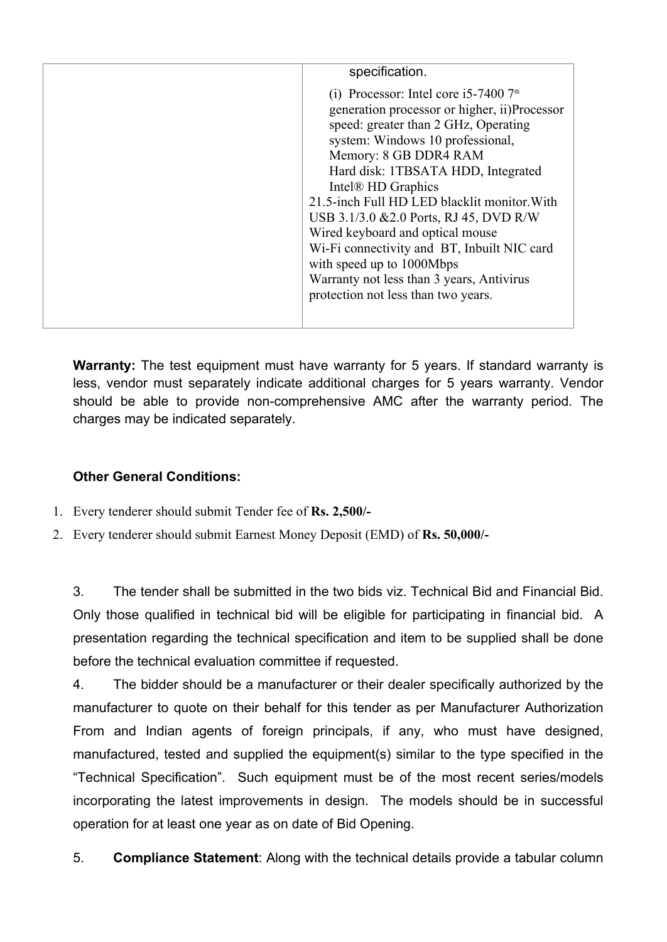| specification.                                |
|-----------------------------------------------|
| (i) Processor: Intel core i5-7400 $7th$       |
| generation processor or higher, ii) Processor |
| speed: greater than 2 GHz, Operating          |
| system: Windows 10 professional,              |
| Memory: 8 GB DDR4 RAM                         |
| Hard disk: 1TBSATA HDD, Integrated            |
| Intel <sup>®</sup> HD Graphics                |
| 21.5-inch Full HD LED blacklit monitor. With  |
| USB 3.1/3.0 & 2.0 Ports, RJ 45, DVD R/W       |
| Wired keyboard and optical mouse              |
| Wi-Fi connectivity and BT, Inbuilt NIC card   |
| with speed up to 1000Mbps                     |
| Warranty not less than 3 years, Antivirus     |
| protection not less than two years.           |
|                                               |
|                                               |

**Warranty:** The test equipment must have warranty for 5 years. If standard warranty is less, vendor must separately indicate additional charges for 5 years warranty. Vendor should be able to provide non-comprehensive AMC after the warranty period. The charges may be indicated separately.

# **Other General Conditions:**

- 1. Every tenderer should submit Tender fee of **Rs. 2,500/-**
- 2. Every tenderer should submit Earnest Money Deposit (EMD) of **Rs. 50,000/-**

3. The tender shall be submitted in the two bids viz. Technical Bid and Financial Bid. Only those qualified in technical bid will be eligible for participating in financial bid. A presentation regarding the technical specification and item to be supplied shall be done before the technical evaluation committee if requested.

4. The bidder should be a manufacturer or their dealer specifically authorized by the manufacturer to quote on their behalf for this tender as per Manufacturer Authorization From and Indian agents of foreign principals, if any, who must have designed, manufactured, tested and supplied the equipment(s) similar to the type specified in the "Technical Specification". Such equipment must be of the most recent series/models incorporating the latest improvements in design. The models should be in successful operation for at least one year as on date of Bid Opening.

5. **Compliance Statement**: Along with the technical details provide a tabular column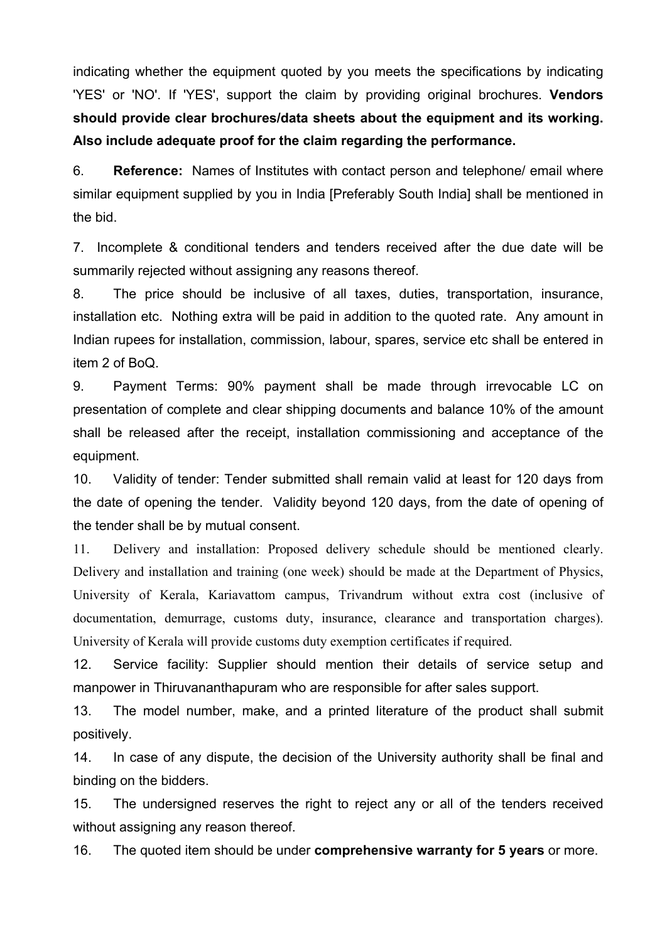indicating whether the equipment quoted by you meets the specifications by indicating 'YES' or 'NO'. If 'YES', support the claim by providing original brochures. **Vendors should provide clear brochures/data sheets about the equipment and its working. Also include adequate proof for the claim regarding the performance.**

6. **Reference:** Names of Institutes with contact person and telephone/ email where similar equipment supplied by you in India [Preferably South India] shall be mentioned in the bid.

7. Incomplete & conditional tenders and tenders received after the due date will be summarily rejected without assigning any reasons thereof.

8. The price should be inclusive of all taxes, duties, transportation, insurance, installation etc. Nothing extra will be paid in addition to the quoted rate. Any amount in Indian rupees for installation, commission, labour, spares, service etc shall be entered in item 2 of BoQ.

9. Payment Terms: 90% payment shall be made through irrevocable LC on presentation of complete and clear shipping documents and balance 10% of the amount shall be released after the receipt, installation commissioning and acceptance of the equipment.

10. Validity of tender: Tender submitted shall remain valid at least for 120 days from the date of opening the tender. Validity beyond 120 days, from the date of opening of the tender shall be by mutual consent.

11. Delivery and installation: Proposed delivery schedule should be mentioned clearly. Delivery and installation and training (one week) should be made at the Department of Physics, University of Kerala, Kariavattom campus, Trivandrum without extra cost (inclusive of documentation, demurrage, customs duty, insurance, clearance and transportation charges). University of Kerala will provide customs duty exemption certificates if required.

12. Service facility: Supplier should mention their details of service setup and manpower in Thiruvananthapuram who are responsible for after sales support.

13. The model number, make, and a printed literature of the product shall submit positively.

14. In case of any dispute, the decision of the University authority shall be final and binding on the bidders.

15. The undersigned reserves the right to reject any or all of the tenders received without assigning any reason thereof.

16. The quoted item should be under **comprehensive warranty for 5 years** or more.